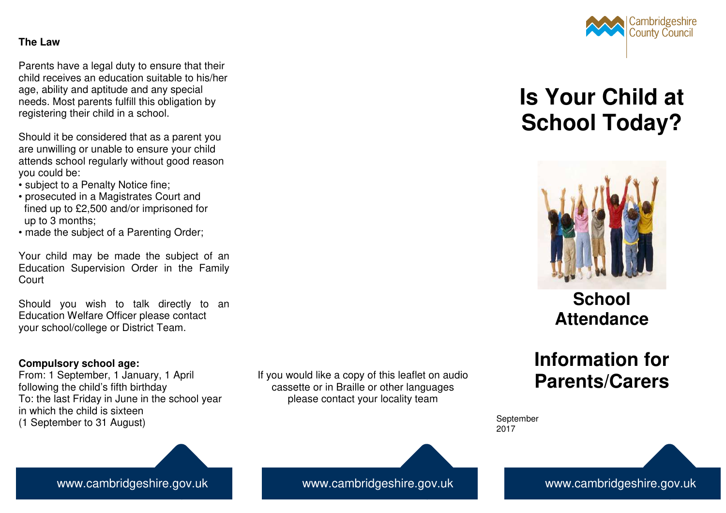## **The Law**

Parents have a legal duty to ensure that their child receives an education suitable to his/her age, ability and aptitude and any special needs. Most parents fulfill this obligation by registering their child in a school.

Should it be considered that as a parent you are unwilling or unable to ensure your child attends school regularly without good reason you could be:

- subject to a Penalty Notice fine;
- prosecuted in a Magistrates Court and fined up to £2,500 and/or imprisoned for up to 3 months;
- made the subject of a Parenting Order;

Your child may be made the subject of an Education Supervision Order in the Family Court

Should you wish to talk directly to an Education Welfare Officer please contact your school/college or District Team.

# **Compulsory school age:**

 From: 1 September, 1 January, 1 April following the child's fifth birthday To: the last Friday in June in the school year in which the child is sixteen (1 September to 31 August)

If you would like a copy of this leaflet on audio cassette or in Braille or other languages please contact your locality team



# **Is Your Child at School Today?**



**School Attendance** 

# **Information for Parents/Carers**

September 2017

www.cambridgeshire.gov.uk

www.cambridgeshire.gov.uk www.cambridgeshire.gov.uk